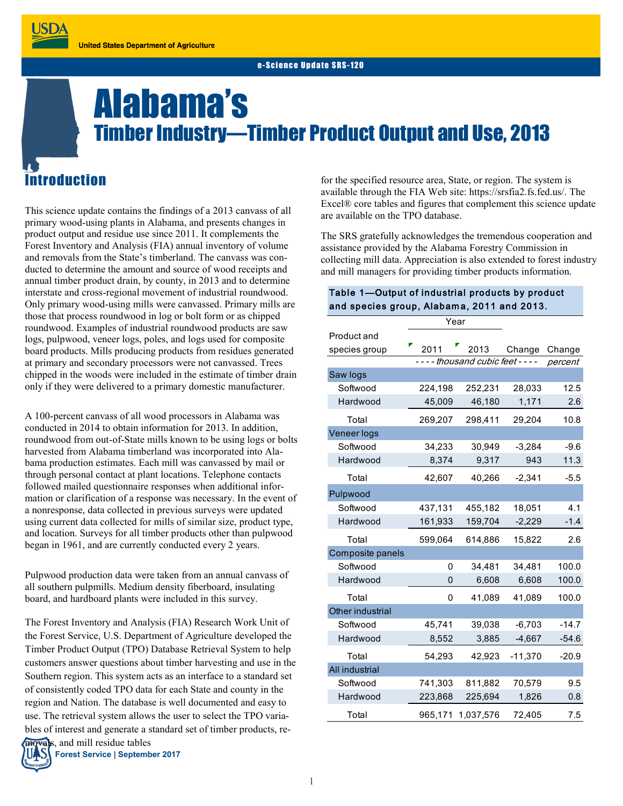# Alabama's Timber Industry—Timber Product Output and Use, 2013

# roduction

**JSDA** 

This science update contains the findings of a 2013 canvass of all primary wood-using plants in Alabama, and presents changes in product output and residue use since 2011. It complements the Forest Inventory and Analysis (FIA) annual inventory of volume and removals from the State's timberland. The canvass was conducted to determine the amount and source of wood receipts and annual timber product drain, by county, in 2013 and to determine interstate and cross-regional movement of industrial roundwood. Only primary wood-using mills were canvassed. Primary mills are those that process roundwood in log or bolt form or as chipped roundwood. Examples of industrial roundwood products are saw logs, pulpwood, veneer logs, poles, and logs used for composite board products. Mills producing products from residues generated at primary and secondary processors were not canvassed. Trees chipped in the woods were included in the estimate of timber drain only if they were delivered to a primary domestic manufacturer.

A 100-percent canvass of all wood processors in Alabama was conducted in 2014 to obtain information for 2013. In addition, roundwood from out-of-State mills known to be using logs or bolts harvested from Alabama timberland was incorporated into Alabama production estimates. Each mill was canvassed by mail or through personal contact at plant locations. Telephone contacts followed mailed questionnaire responses when additional information or clarification of a response was necessary. In the event of a nonresponse, data collected in previous surveys were updated using current data collected for mills of similar size, product type, and location. Surveys for all timber products other than pulpwood began in 1961, and are currently conducted every 2 years.

Pulpwood production data were taken from an annual canvass of all southern pulpmills. Medium density fiberboard, insulating board, and hardboard plants were included in this survey.

The Forest Inventory and Analysis (FIA) Research Work Unit of the Forest Service, U.S. Department of Agriculture developed the Timber Product Output (TPO) Database Retrieval System to help customers answer questions about timber harvesting and use in the Southern region. This system acts as an interface to a standard set of consistently coded TPO data for each State and county in the region and Nation. The database is well documented and easy to use. The retrieval system allows the user to select the TPO variables of interest and generate a standard set of timber products, re-



**Forest Service | September 2017**

for the specified resource area, State, or region. The system is available through the FIA Web site: https://srsfia2.fs.fed.us/. The Excel<sup>®</sup> core tables and figures that complement this science update are available on the TPO database.

The SRS gratefully acknowledges the tremendous cooperation and assistance provided by the Alabama Forestry Commission in collecting mill data. Appreciation is also extended to forest industry and mill managers for providing timber products information.

### Table 1—Output of industrial products by product and species group, Alabama, 2011 and 2013.

|                  | Year                          |           |           |         |
|------------------|-------------------------------|-----------|-----------|---------|
| Product and      |                               |           |           |         |
| species group    | 2011                          | 2013      | Change    | Change  |
|                  | ---- thousand cubic feet ---- |           |           | percent |
| Saw logs         |                               |           |           |         |
| Softwood         | 224,198                       | 252,231   | 28,033    | 12.5    |
| Hardwood         | 45,009                        | 46,180    | 1,171     | 2.6     |
| Total            | 269,207                       | 298,411   | 29,204    | 10.8    |
| Veneer logs      |                               |           |           |         |
| Softwood         | 34,233                        | 30,949    | $-3,284$  | $-9.6$  |
| Hardwood         | 8,374                         | 9,317     | 943       | 11.3    |
| Total            | 42,607                        | 40,266    | $-2,341$  | $-5.5$  |
| Pulpwood         |                               |           |           |         |
| Softwood         | 437,131                       | 455,182   | 18,051    | 4.1     |
| Hardwood         | 161,933                       | 159,704   | $-2,229$  | $-1.4$  |
| Total            | 599,064                       | 614,886   | 15,822    | 2.6     |
| Composite panels |                               |           |           |         |
| Softwood         | 0                             | 34,481    | 34,481    | 100.0   |
| Hardwood         | 0                             | 6,608     | 6,608     | 100.0   |
| Total            | 0                             | 41.089    | 41,089    | 100.0   |
| Other industrial |                               |           |           |         |
| Softwood         | 45,741                        | 39,038    | $-6,703$  | $-14.7$ |
| Hardwood         | 8,552                         | 3,885     | $-4,667$  | -54.6   |
| Total            | 54,293                        | 42,923    | $-11,370$ | $-20.9$ |
| All industrial   |                               |           |           |         |
| Softwood         | 741,303                       | 811,882   | 70,579    | 9.5     |
| Hardwood         | 223,868                       | 225,694   | 1,826     | 0.8     |
| Total            | 965,171                       | 1,037,576 | 72,405    | 7.5     |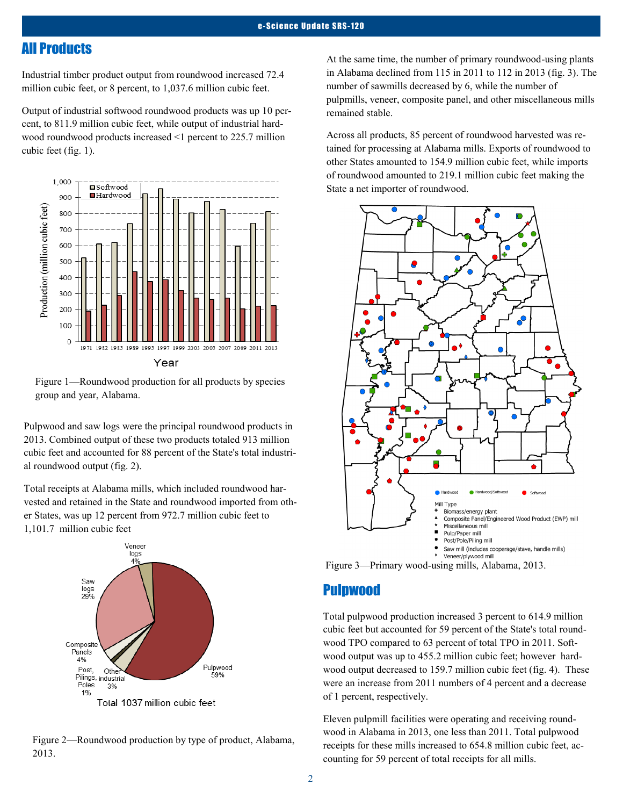## All Products

Industrial timber product output from roundwood increased 72.4 million cubic feet, or 8 percent, to 1,037.6 million cubic feet.

Output of industrial softwood roundwood products was up 10 percent, to 811.9 million cubic feet, while output of industrial hardwood roundwood products increased <1 percent to 225.7 million cubic feet (fig. 1).



Figure 1—Roundwood production for all products by species group and year, Alabama.

Pulpwood and saw logs were the principal roundwood products in 2013. Combined output of these two products totaled 913 million cubic feet and accounted for 88 percent of the State's total industrial roundwood output (fig. 2).

Total receipts at Alabama mills, which included roundwood harvested and retained in the State and roundwood imported from other States, was up 12 percent from 972.7 million cubic feet to 1,101.7 million cubic feet



Figure 2—Roundwood production by type of product, Alabama, 2013.

At the same time, the number of primary roundwood-using plants in Alabama declined from 115 in 2011 to 112 in 2013 (fig. 3). The number of sawmills decreased by 6, while the number of pulpmills, veneer, composite panel, and other miscellaneous mills remained stable.

Across all products, 85 percent of roundwood harvested was retained for processing at Alabama mills. Exports of roundwood to other States amounted to 154.9 million cubic feet, while imports of roundwood amounted to 219.1 million cubic feet making the State a net importer of roundwood.



Figure 3—Primary wood-using mills, Alabama, 2013.

### Pulpwood

Total pulpwood production increased 3 percent to 614.9 million cubic feet but accounted for 59 percent of the State's total roundwood TPO compared to 63 percent of total TPO in 2011. Softwood output was up to 455.2 million cubic feet; however hardwood output decreased to 159.7 million cubic feet (fig. 4). These were an increase from 2011 numbers of 4 percent and a decrease of 1 percent, respectively.

Eleven pulpmill facilities were operating and receiving roundwood in Alabama in 2013, one less than 2011. Total pulpwood receipts for these mills increased to 654.8 million cubic feet, accounting for 59 percent of total receipts for all mills.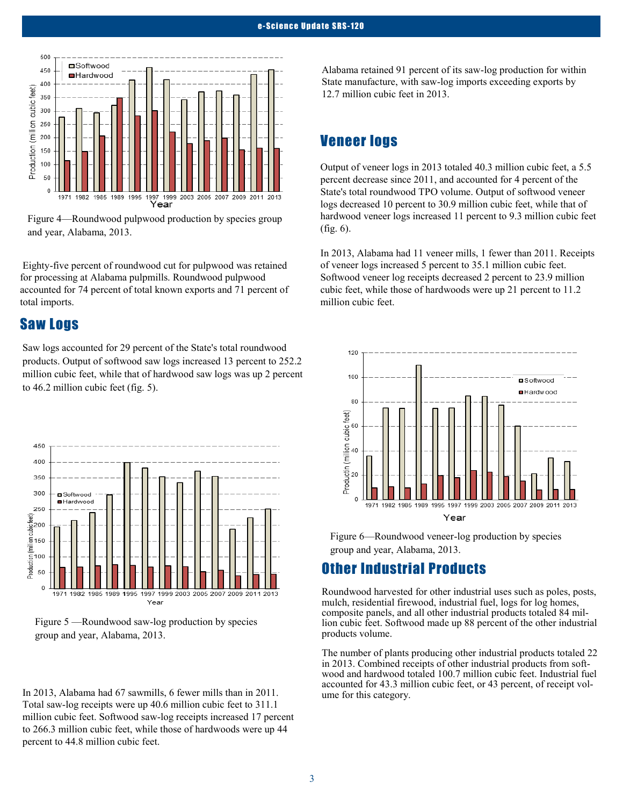

Figure 4—Roundwood pulpwood production by species group and year, Alabama, 2013.

Eighty-five percent of roundwood cut for pulpwood was retained for processing at Alabama pulpmills. Roundwood pulpwood accounted for 74 percent of total known exports and 71 percent of total imports.

## Saw Logs

Saw logs accounted for 29 percent of the State's total roundwood products. Output of softwood saw logs increased 13 percent to 252.2 million cubic feet, while that of hardwood saw logs was up 2 percent to 46.2 million cubic feet (fig. 5).



Figure 5 —Roundwood saw-log production by species group and year, Alabama, 2013.

In 2013, Alabama had 67 sawmills, 6 fewer mills than in 2011. Total saw-log receipts were up 40.6 million cubic feet to 311.1 million cubic feet. Softwood saw-log receipts increased 17 percent to 266.3 million cubic feet, while those of hardwoods were up 44 percent to 44.8 million cubic feet.

Alabama retained 91 percent of its saw-log production for within State manufacture, with saw-log imports exceeding exports by 12.7 million cubic feet in 2013.

# Veneer logs

Output of veneer logs in 2013 totaled 40.3 million cubic feet, a 5.5 percent decrease since 2011, and accounted for 4 percent of the State's total roundwood TPO volume. Output of softwood veneer logs decreased 10 percent to 30.9 million cubic feet, while that of hardwood veneer logs increased 11 percent to 9.3 million cubic feet (fig. 6).

In 2013, Alabama had 11 veneer mills, 1 fewer than 2011. Receipts of veneer logs increased 5 percent to 35.1 million cubic feet. Softwood veneer log receipts decreased 2 percent to 23.9 million cubic feet, while those of hardwoods were up 21 percent to 11.2 million cubic feet.



Figure 6—Roundwood veneer-log production by species group and year, Alabama, 2013.

# Other Industrial Products

Roundwood harvested for other industrial uses such as poles, posts, mulch, residential firewood, industrial fuel, logs for log homes, composite panels, and all other industrial products totaled 84 million cubic feet. Softwood made up 88 percent of the other industrial products volume.

The number of plants producing other industrial products totaled 22 in 2013. Combined receipts of other industrial products from softwood and hardwood totaled 100.7 million cubic feet. Industrial fuel accounted for 43.3 million cubic feet, or 43 percent, of receipt volume for this category.